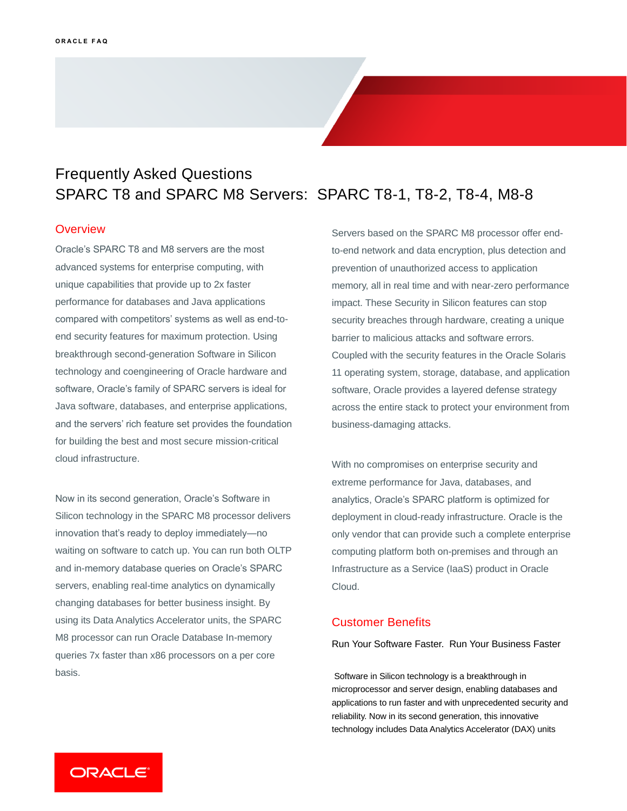## Frequently Asked Questions SPARC T8 and SPARC M8 Servers: SPARC T8-1, T8-2, T8-4, M8-8

### **Overview**

 Oracle's SPARC T8 and M8 servers are the most compared with competitors' systems as well as end-to- end security features for maximum protection. Using breakthrough second-generation Software in Silicon software, Oracle's family of SPARC servers is ideal for advanced systems for enterprise computing, with unique capabilities that provide up to 2x faster performance for databases and Java applications technology and coengineering of Oracle hardware and Java software, databases, and enterprise applications, and the servers' rich feature set provides the foundation for building the best and most secure mission-critical cloud infrastructure.

 Now in its second generation, Oracle's Software in innovation that's ready to deploy immediately—no waiting on software to catch up. You can run both OLTP changing databases for better business insight. By using its Data Analytics Accelerator units, the SPARC Silicon technology in the SPARC M8 processor delivers and in-memory database queries on Oracle's SPARC servers, enabling real-time analytics on dynamically M8 processor can run Oracle Database In-memory queries 7x faster than x86 processors on a per core basis.

 memory, all in real time and with near-zero performance impact. These Security in Silicon features can stop Coupled with the security features in the Oracle Solaris across the entire stack to protect your environment from Servers based on the SPARC M8 processor offer endto-end network and data encryption, plus detection and prevention of unauthorized access to application security breaches through hardware, creating a unique barrier to malicious attacks and software errors. 11 operating system, storage, database, and application software, Oracle provides a layered defense strategy business-damaging attacks.

 With no compromises on enterprise security and extreme performance for Java, databases, and analytics, Oracle's SPARC platform is optimized for deployment in cloud-ready infrastructure. Oracle is the only vendor that can provide such a complete enterprise computing platform both on-premises and through an Infrastructure as a Service (IaaS) product in Oracle Cloud.

## Customer Benefits

Run Your Software Faster. Run Your Business Faster

 Software in Silicon technology is a breakthrough in microprocessor and server design, enabling databases and applications to run faster and with unprecedented security and reliability. Now in its second generation, this innovative technology includes Data Analytics Accelerator (DAX) units

ORACLE<sup>®</sup>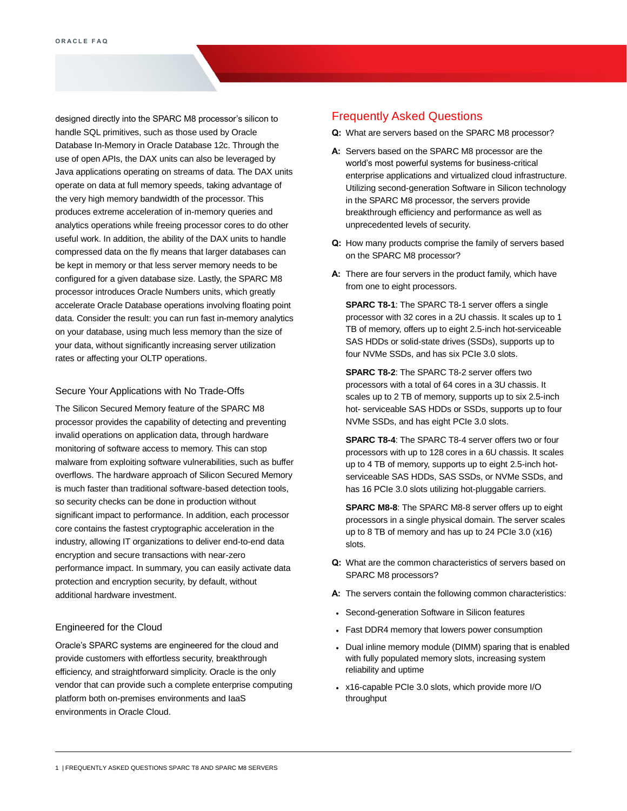designed directly into the SPARC M8 processor's silicon to handle SQL primitives, such as those used by Oracle Database In-Memory in Oracle Database 12c. Through the use of open APIs, the DAX units can also be leveraged by Java applications operating on streams of data. The DAX units operate on data at full memory speeds, taking advantage of the very high memory bandwidth of the processor. This produces extreme acceleration of in-memory queries and analytics operations while freeing processor cores to do other useful work. In addition, the ability of the DAX units to handle compressed data on the fly means that larger databases can be kept in memory or that less server memory needs to be configured for a given database size. Lastly, the SPARC M8 processor introduces Oracle Numbers units, which greatly accelerate Oracle Database operations involving floating point data. Consider the result: you can run fast in-memory analytics on your database, using much less memory than the size of your data, without significantly increasing server utilization rates or affecting your OLTP operations.

#### Secure Your Applications with No Trade-Offs

 The Silicon Secured Memory feature of the SPARC M8 processor provides the capability of detecting and preventing invalid operations on application data, through hardware monitoring of software access to memory. This can stop malware from exploiting software vulnerabilities, such as buffer overflows. The hardware approach of Silicon Secured Memory is much faster than traditional software-based detection tools, so security checks can be done in production without significant impact to performance. In addition, each processor core contains the fastest cryptographic acceleration in the industry, allowing IT organizations to deliver end-to-end data encryption and secure transactions with near-zero performance impact. In summary, you can easily activate data protection and encryption security, by default, without additional hardware investment.

#### Engineered for the Cloud

 Oracle's SPARC systems are engineered for the cloud and provide customers with effortless security, breakthrough efficiency, and straightforward simplicity. Oracle is the only vendor that can provide such a complete enterprise computing platform both on-premises environments and IaaS environments in Oracle Cloud.

## Frequently Asked Questions

- **Q:** What are servers based on the SPARC M8 processor?
- **A:** Servers based on the SPARC M8 processor are the world's most powerful systems for business-critical enterprise applications and virtualized cloud infrastructure. Utilizing second-generation Software in Silicon technology in the SPARC M8 processor, the servers provide breakthrough efficiency and performance as well as unprecedented levels of security.
- **Q:** How many products comprise the family of servers based on the SPARC M8 processor?
- **A:** There are four servers in the product family, which have from one to eight processors.

 **SPARC T8-1**: The SPARC T8-1 server offers a single processor with 32 cores in a 2U chassis. It scales up to 1 TB of memory, offers up to eight 2.5-inch hot-serviceable SAS HDDs or solid-state drives (SSDs), supports up to four NVMe SSDs, and has six PCIe 3.0 slots.

 **SPARC T8-2**: The SPARC T8-2 server offers two processors with a total of 64 cores in a 3U chassis. It scales up to 2 TB of memory, supports up to six 2.5-inch hot- serviceable SAS HDDs or SSDs, supports up to four NVMe SSDs, and has eight PCIe 3.0 slots.

 **SPARC T8-4**: The SPARC T8-4 server offers two or four processors with up to 128 cores in a 6U chassis. It scales up to 4 TB of memory, supports up to eight 2.5-inch hot- serviceable SAS HDDs, SAS SSDs, or NVMe SSDs, and has 16 PCIe 3.0 slots utilizing hot-pluggable carriers.

 **SPARC M8-8**: The SPARC M8-8 server offers up to eight processors in a single physical domain. The server scales up to 8 TB of memory and has up to 24 PCIe 3.0 (x16) slots.

- **Q:** What are the common characteristics of servers based on SPARC M8 processors?
- **A:** The servers contain the following common characteristics:
- Second-generation Software in Silicon features
- Fast DDR4 memory that lowers power consumption
- • Dual inline memory module (DIMM) sparing that is enabled with fully populated memory slots, increasing system reliability and uptime
- • x16-capable PCIe 3.0 slots, which provide more I/O throughput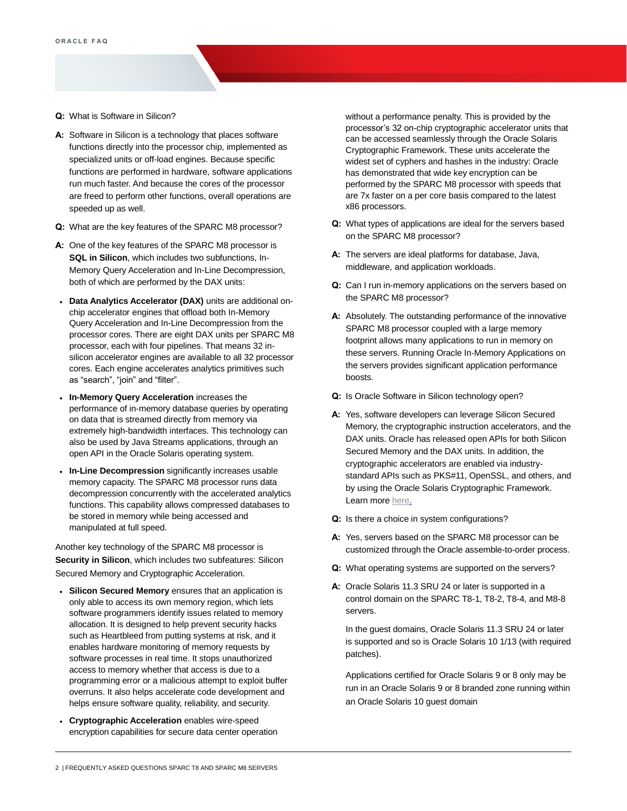- **Q:** What is Software in Silicon?
- **A:** Software in Silicon is a technology that places software functions directly into the processor chip, implemented as specialized units or off-load engines. Because specific functions are performed in hardware, software applications run much faster. And because the cores of the processor are freed to perform other functions, overall operations are speeded up as well.
- **Q:** What are the key features of the SPARC M8 processor?
- **A:** One of the key features of the SPARC M8 processor is  **SQL in Silicon**, which includes two subfunctions, In- Memory Query Acceleration and In-Line Decompression, both of which are performed by the DAX units:
- **Data Analytics Accelerator (DAX)** units are additional on- chip accelerator engines that offload both In-Memory Query Acceleration and In-Line Decompression from the processor cores. There are eight DAX units per SPARC M8 processor, each with four pipelines. That means 32 in- silicon accelerator engines are available to all 32 processor cores. Each engine accelerates analytics primitives such as "search", "join" and "filter".
- **In-Memory Query Acceleration** increases the performance of in-memory database queries by operating on data that is streamed directly from memory via extremely high-bandwidth interfaces. This technology can also be used by Java Streams applications, through an open API in the Oracle Solaris operating system.
- • **In-Line Decompression** significantly increases usable memory capacity. The SPARC M8 processor runs data decompression concurrently with the accelerated analytics functions. This capability allows compressed databases to be stored in memory while being accessed and manipulated at full speed.

 Another key technology of the SPARC M8 processor is  **Security in Silicon**, which includes two subfeatures: Silicon Secured Memory and Cryptographic Acceleration.

- **Silicon Secured Memory** ensures that an application is only able to access its own memory region, which lets software programmers identify issues related to memory allocation. It is designed to help prevent security hacks such as Heartbleed from putting systems at risk, and it enables hardware monitoring of memory requests by software processes in real time. It stops unauthorized access to memory whether that access is due to a programming error or a malicious attempt to exploit buffer overruns. It also helps accelerate code development and helps ensure software quality, reliability, and security.
- encryption capabilities for secure data center operation • **Cryptographic Acceleration** enables wire-speed

 without a performance penalty. This is provided by the processor's 32 on-chip cryptographic accelerator units that can be accessed seamlessly through the Oracle Solaris Cryptographic Framework. These units accelerate the widest set of cyphers and hashes in the industry: Oracle has demonstrated that wide key encryption can be performed by the SPARC M8 processor with speeds that are 7x faster on a per core basis compared to the latest x86 processors.

- **Q:** What types of applications are ideal for the servers based on the SPARC M8 processor?
- **A:** The servers are ideal platforms for database, Java, middleware, and application workloads.
- **Q:** Can I run in-memory applications on the servers based on the SPARC M8 processor?
- **A:** Absolutely. The outstanding performance of the innovative SPARC M8 processor coupled with a large memory footprint allows many applications to run in memory on these servers. Running Oracle In-Memory Applications on the servers provides significant application performance boosts.
- **Q:** Is Oracle Software in Silicon technology open?
- **A:** Yes, software developers can leverage Silicon Secured Memory, the cryptographic instruction accelerators, and the DAX units. Oracle has released open APIs for both Silicon Secured Memory and the DAX units. In addition, the cryptographic accelerators are enabled via industry- standard APIs such as PKS#11, OpenSSL, and others, and by using the Oracle Solaris Cryptographic Framework. Learn more [here.](https://community.oracle.com/tech/developers/discussion/4462270/introduction-to-stream-processing-using-the-dax-api)
- **Q:** Is there a choice in system configurations?
- **A:** Yes, servers based on the SPARC M8 processor can be customized through the Oracle assemble-to-order process.
- **Q:** What operating systems are supported on the servers?
- **A:** Oracle Solaris 11.3 SRU 24 or later is supported in a control domain on the SPARC T8-1, T8-2, T8-4, and M8-8 servers.

 In the guest domains, Oracle Solaris 11.3 SRU 24 or later is supported and so is Oracle Solaris 10 1/13 (with required patches).

 Applications certified for Oracle Solaris 9 or 8 only may be run in an Oracle Solaris 9 or 8 branded zone running within an Oracle Solaris 10 guest domain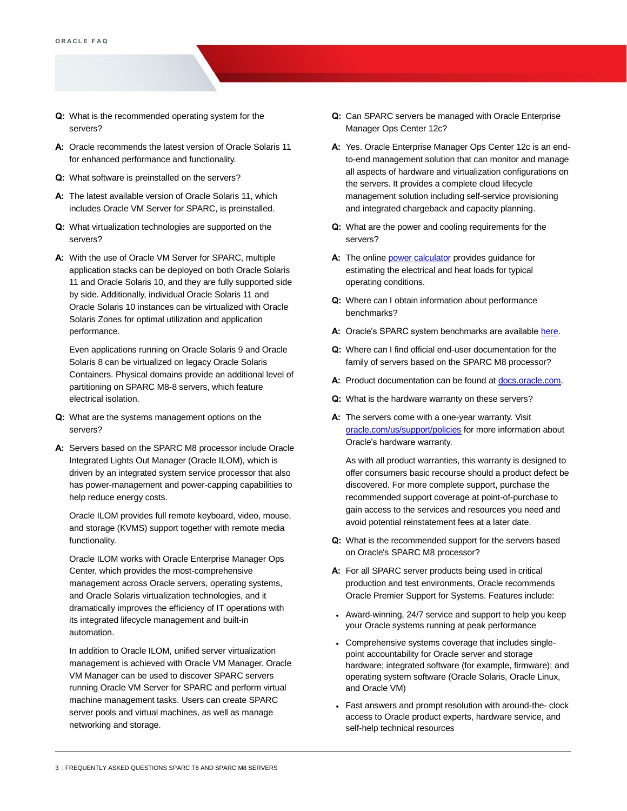- **Q:** What is the recommended operating system for the servers?
- **A:** Oracle recommends the latest version of Oracle Solaris 11 for enhanced performance and functionality.
- **Q:** What software is preinstalled on the servers?
- **A:** The latest available version of Oracle Solaris 11, which includes Oracle VM Server for SPARC, is preinstalled.
- **Q:** What virtualization technologies are supported on the servers?
- **A:** With the use of Oracle VM Server for SPARC, multiple application stacks can be deployed on both Oracle Solaris 11 and Oracle Solaris 10, and they are fully supported side by side. Additionally, individual Oracle Solaris 11 and Oracle Solaris 10 instances can be virtualized with Oracle Solaris Zones for optimal utilization and application performance.

 Even applications running on Oracle Solaris 9 and Oracle Solaris 8 can be virtualized on legacy Oracle Solaris Containers. Physical domains provide an additional level of partitioning on SPARC M8-8 servers, which feature electrical isolation.

- **Q:** What are the systems management options on the servers?
- **A:** Servers based on the SPARC M8 processor include Oracle Integrated Lights Out Manager (Oracle ILOM), which is driven by an integrated system service processor that also has power-management and power-capping capabilities to help reduce energy costs.

 Oracle ILOM provides full remote keyboard, video, mouse, and storage (KVMS) support together with remote media functionality.

 Oracle ILOM works with Oracle Enterprise Manager Ops Center, which provides the most-comprehensive management across Oracle servers, operating systems, and Oracle Solaris virtualization technologies, and it dramatically improves the efficiency of IT operations with its integrated lifecycle management and built-in automation.

 In addition to Oracle ILOM, unified server virtualization management is achieved with Oracle VM Manager. Oracle VM Manager can be used to discover SPARC servers running Oracle VM Server for SPARC and perform virtual machine management tasks. Users can create SPARC server pools and virtual machines, as well as manage networking and storage.

- **Q:** Can SPARC servers be managed with Oracle Enterprise Manager Ops Center 12c?
- **A:** Yes. Oracle Enterprise Manager Ops Center 12c is an end- to-end management solution that can monitor and manage all aspects of hardware and virtualization configurations on the servers. It provides a complete cloud lifecycle management solution including self-service provisioning and integrated chargeback and capacity planning.
- **Q:** What are the power and cooling requirements for the servers?
- **A:** The onlin[e power calculator p](https://www.oracle.com/it-infrastructure/power-calculators/)rovides guidance for estimating the electrical and heat loads for typical operating conditions.
- **Q:** Where can I obtain information about performance benchmarks?
- **A:** Oracle's SPARC system benchmarks are available [here.](https://blogs.oracle.com/bestperf/)
- **Q:** Where can I find official end-user documentation for the family of servers based on the SPARC M8 processor?
- A: Product documentation can be found at **docs.oracle.com**.
- **Q:** What is the hardware warranty on these servers?
- **A:** The servers come with a one-year warranty. Visit [oracle.com/us/support/policies f](http://www.oracle.com/us/support/policies)or more information about Oracle's hardware warranty.

 As with all product warranties, this warranty is designed to offer consumers basic recourse should a product defect be discovered. For more complete support, purchase the recommended support coverage at point-of-purchase to gain access to the services and resources you need and avoid potential reinstatement fees at a later date.

- **Q:** What is the recommended support for the servers based on Oracle's SPARC M8 processor?
- **A:** For all SPARC server products being used in critical production and test environments, Oracle recommends Oracle Premier Support for Systems. Features include:
- • Award-winning, 24/7 service and support to help you keep your Oracle systems running at peak performance
- • Comprehensive systems coverage that includes single- point accountability for Oracle server and storage hardware; integrated software (for example, firmware); and operating system software (Oracle Solaris, Oracle Linux, and Oracle VM)
- • Fast answers and prompt resolution with around-the- clock access to Oracle product experts, hardware service, and self-help technical resources